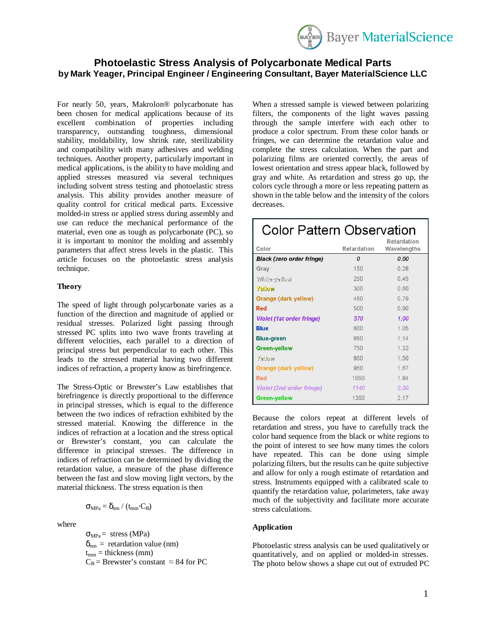

# **Photoelastic Stress Analysis of Polycarbonate Medical Parts by Mark Yeager, Principal Engineer / Engineering Consultant, Bayer MaterialScience LLC**

For nearly 50, years, Makrolon® polycarbonate has been chosen for medical applications because of its excellent combination of properties including transparency, outstanding toughness, dimensional stability, moldability, low shrink rate, sterilizability and compatibility with many adhesives and welding techniques. Another property, particularly important in medical applications, is the ability to have molding and applied stresses measured via several techniques including solvent stress testing and photoelastic stress analysis. This ability provides another measure of quality control for critical medical parts. Excessive molded-in stress or applied stress during assembly and use can reduce the mechanical performance of the material, even one as tough as polycarbonate (PC), so it is important to monitor the molding and assembly parameters that affect stress levels in the plastic. This article focuses on the photoelastic stress analysis technique.

## **Theory**

The speed of light through polycarbonate varies as a function of the direction and magnitude of applied or residual stresses. Polarized light passing through stressed PC splits into two wave fronts traveling at different velocities, each parallel to a direction of principal stress but perpendicular to each other. This leads to the stressed material having two different indices of refraction, a property know as birefringence.

The Stress-Optic or Brewster's Law establishes that birefringence is directly proportional to the difference in principal stresses, which is equal to the difference between the two indices of refraction exhibited by the stressed material. Knowing the difference in the indices of refraction at a location and the stress optical or Brewster's constant, you can calculate the difference in principal stresses. The difference in indices of refraction can be determined by dividing the retardation value, a measure of the phase difference between the fast and slow moving light vectors, by the material thickness. The stress equation is then

$$
\sigma_{MPa} = \delta_{nm} / (t_{mm} \cdot C_B)
$$

where

 $\sigma_{MPa}$  = stress (MPa)  $\delta_{nm}$  = retardation value (nm)  $t_{mm}$  = thickness (mm)  $C_B$  = Brewster's constant  $\approx 84$  for PC

When a stressed sample is viewed between polarizing filters, the components of the light waves passing through the sample interfere with each other to produce a color spectrum. From these color bands or fringes, we can determine the retardation value and complete the stress calculation. When the part and polarizing films are oriented correctly, the areas of lowest orientation and stress appear black, followed by gray and white. As retardation and stress go up, the colors cycle through a more or less repeating pattern as shown in the table below and the intensity of the colors decreases.

| <b>Color Pattern Observation</b> |             |                            |
|----------------------------------|-------------|----------------------------|
| Color                            | Retardation | Retardation<br>Wavelengths |
| <b>Black (zero order fringe)</b> | $\Omega$    | 0.00                       |
| Gray                             | 150         | 0.28                       |
| welley-efirtW                    | 250         | 0.45                       |
| 2                                | 300         | 0.60                       |
| Orange (dark yellow)             | 450         | 0.79                       |
| Red                              | 500         | 0.90                       |
| <b>Violet (1st order fringe)</b> | 570         | 1.00                       |
| <b>Blue</b>                      | 600         | 1.05                       |
| <b>Blue-green</b>                | 650         | 114                        |
| <b>Green-yellow</b>              | 750         | 1.32                       |
| Yellow                           | 850         | 1.50                       |
| Orange (dark yellow)             | 950         | 1.67                       |
| Red                              | 1050        | 1.84                       |
| <b>Violet (2nd order fringe)</b> | 1140        | 2.00                       |
| Green-yellow                     | 1350        | 2.17                       |

Because the colors repeat at different levels of retardation and stress, you have to carefully track the color band sequence from the black or white regions to the point of interest to see how many times the colors have repeated. This can be done using simple polarizing filters, but the results can be quite subjective and allow for only a rough estimate of retardation and stress. Instruments equipped with a calibrated scale to quantify the retardation value, polarimeters, take away much of the subjectivity and facilitate more accurate stress calculations.

#### **Application**

Photoelastic stress analysis can be used qualitatively or quantitatively, and on applied or molded-in stresses. The photo below shows a shape cut out of extruded PC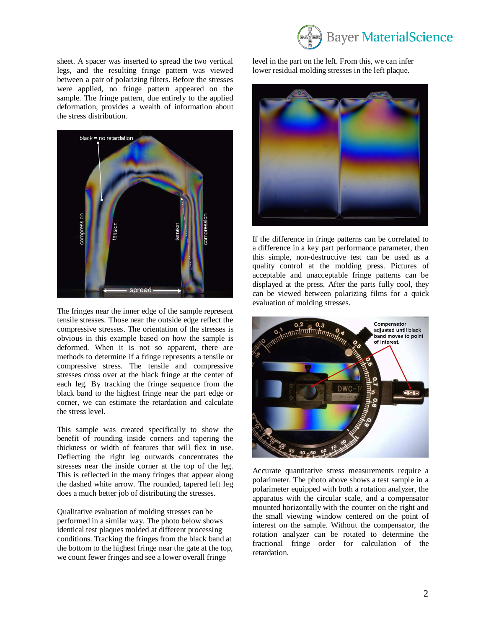

sheet. A spacer was inserted to spread the two vertical legs, and the resulting fringe pattern was viewed between a pair of polarizing filters. Before the stresses were applied, no fringe pattern appeared on the sample. The fringe pattern, due entirely to the applied deformation, provides a wealth of information about the stress distribution.



The fringes near the inner edge of the sample represent tensile stresses. Those near the outside edge reflect the compressive stresses. The orientation of the stresses is obvious in this example based on how the sample is deformed. When it is not so apparent, there are methods to determine if a fringe represents a tensile or compressive stress. The tensile and compressive stresses cross over at the black fringe at the center of each leg. By tracking the fringe sequence from the black band to the highest fringe near the part edge or corner, we can estimate the retardation and calculate the stress level.

This sample was created specifically to show the benefit of rounding inside corners and tapering the thickness or width of features that will flex in use. Deflecting the right leg outwards concentrates the stresses near the inside corner at the top of the leg. This is reflected in the many fringes that appear along the dashed white arrow. The rounded, tapered left leg does a much better job of distributing the stresses.

Qualitative evaluation of molding stresses can be performed in a similar way. The photo below shows identical test plaques molded at different processing conditions. Tracking the fringes from the black band at the bottom to the highest fringe near the gate at the top, we count fewer fringes and see a lower overall fringe

level in the part on the left. From this, we can infer lower residual molding stresses in the left plaque.



If the difference in fringe patterns can be correlated to a difference in a key part performance parameter, then this simple, non-destructive test can be used as a quality control at the molding press. Pictures of acceptable and unacceptable fringe patterns can be displayed at the press. After the parts fully cool, they can be viewed between polarizing films for a quick evaluation of molding stresses.



Accurate quantitative stress measurements require a polarimeter. The photo above shows a test sample in a polarimeter equipped with both a rotation analyzer, the apparatus with the circular scale, and a compensator mounted horizontally with the counter on the right and the small viewing window centered on the point of interest on the sample. Without the compensator, the rotation analyzer can be rotated to determine the fractional fringe order for calculation of the retardation.